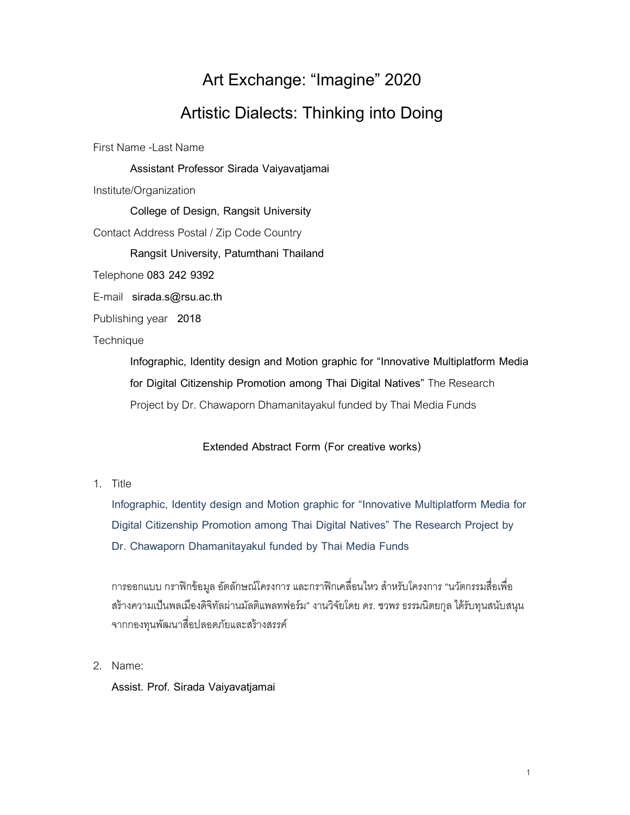## Art Exchange: "Imagine" 2020 Artistic Dialects: Thinking into Doing

First Name -Last Name

**Assistant Professor Sirada Vaiyavatjamai**

Institute/Organization

**College of Design, Rangsit University** 

Contact Address Postal / Zip Code Country

**Rangsit University, Patumthani Thailand** 

Telephone **083 242 9392**

E-mail **sirada.s@rsu.ac.th**

Publishing year **2018**

**Technique** 

**Infographic, Identity design and Motion graphic for "Innovative Multiplatform Media for Digital Citizenship Promotion among Thai Digital Natives"** The Research Project by Dr. Chawaporn Dhamanitayakul funded by Thai Media Funds

## **Extended Abstract Form (For creative works)**

1. Title

**Infographic, Identity design and Motion graphic for "Innovative Multiplatform Media for Digital Citizenship Promotion among Thai Digital Natives" The Research Project by Dr. Chawaporn Dhamanitayakul funded by Thai Media Funds**

การออกแบบ กราฟิกข้อมูล อัตลักษณ์โครงการ และกราฟิกเคลื่อนไหว สำหรับโครงการ "นวัตกรรมสื่อเพื่อ สร้างความเป็นพลเมืองดิจิทัลผ่านมัลติแพลทฟอร์ม" งานวิจัยโดย ดร. ชวพร ธรรมนิตยกุล ได้รับทุนสนับสนุน จากกองทุนพัฒนาสืdอปลอดภัยและสร้างสรรค์

2. Name:

**Assist. Prof. Sirada Vaiyavatjamai**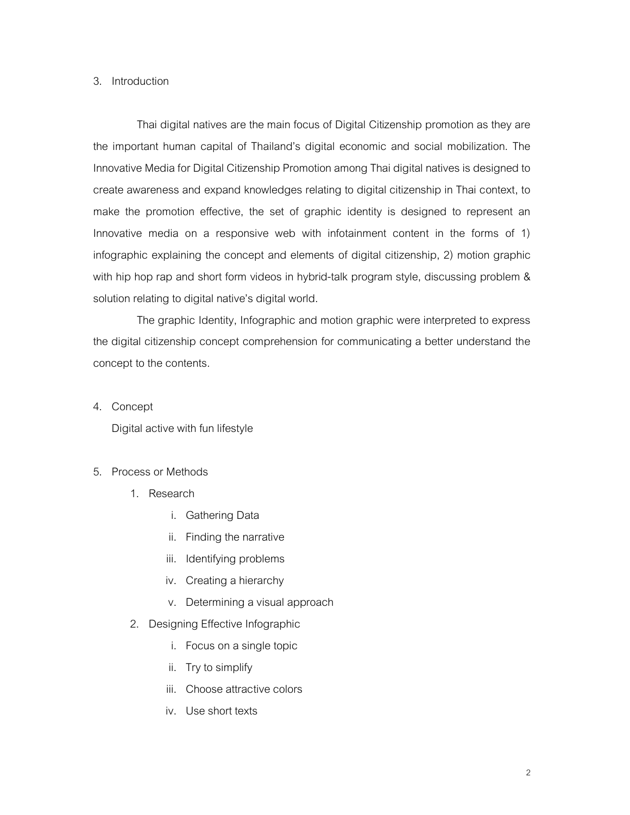## 3. Introduction

Thai digital natives are the main focus of Digital Citizenship promotion as they are the important human capital of Thailand's digital economic and social mobilization. The Innovative Media for Digital Citizenship Promotion among Thai digital natives is designed to create awareness and expand knowledges relating to digital citizenship in Thai context, to make the promotion effective, the set of graphic identity is designed to represent an Innovative media on a responsive web with infotainment content in the forms of 1) infographic explaining the concept and elements of digital citizenship, 2) motion graphic with hip hop rap and short form videos in hybrid-talk program style, discussing problem & solution relating to digital native's digital world.

The graphic Identity, Infographic and motion graphic were interpreted to express the digital citizenship concept comprehension for communicating a better understand the concept to the contents.

4. Concept

Digital active with fun lifestyle

## 5. Process or Methods

- 1. Research
	- i. Gathering Data
	- ii. Finding the narrative
	- iii. Identifying problems
	- iv. Creating a hierarchy
	- v. Determining a visual approach
- 2. Designing Effective Infographic
	- i. Focus on a single topic
	- ii. Try to simplify
	- iii. Choose attractive colors
	- iv. Use short texts